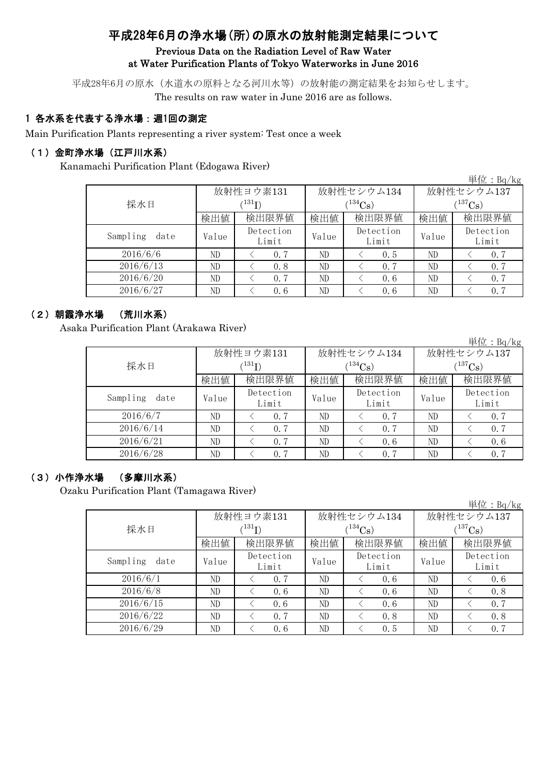# 平成28年6月の浄水場(所)の原水の放射能測定結果について

### Previous Data on the Radiation Level of Raw Water at Water Purification Plants of Tokyo Waterworks in June 2016

平成28年6月の原水(水道水の原料となる河川水等)の放射能の測定結果をお知らせします。 The results on raw water in June 2016 are as follows.

## 1 各水系を代表する浄水場:週1回の測定

Main Purification Plants representing a river system: Test once a week

#### (1)金町浄水場(江戸川水系)

Kanamachi Purification Plant (Edogawa River)

|                  |             |                    |       |                    |             | 単位: Bq/kg          |  |
|------------------|-------------|--------------------|-------|--------------------|-------------|--------------------|--|
|                  |             | 放射性ヨウ素131          |       | 放射性セシウム134         | 放射性セシウム137  |                    |  |
| 採水日              | $^{131}$ I) |                    |       | $134C_8$ )         | $(137)$ Cs) |                    |  |
|                  | 検出値         | 検出限界値              | 検出値   | 検出限界値              | 検出値         | 検出限界値              |  |
| Sampling<br>date | Value       | Detection<br>Limit | Value | Detection<br>Limit | Value       | Detection<br>Limit |  |
| 2016/6/6         | ND          | 0, 7               | ND.   | 0.5                | ND          | 0.7                |  |
| 2016/6/13        | ND          | 0.8                | ND    | 0.7                | ND          | 0, 7               |  |
| 2016/6/20        | ND          | 0, 7               | ND    | 0.6                | ND          | 0.7                |  |
| 2016/6/27        | ND          | 0.6                | ND    | 0.6                | ND          | 0.7                |  |

#### (2)朝霞浄水場 (荒川水系)

Asaka Purification Plant (Arakawa River)

単位:Bq/kg 検出値 検出限界値 検出値 検出限界値 検出値 Value  $\begin{array}{c|c} \n\text{Vector} \\
\hline\n\end{array}$  Value  $\begin{array}{c|c} \n\text{Vector} \\
\hline\n\end{array}$  Value ND  $\vert$   $\langle$  0.7  $\vert$  ND  $\vert$   $\langle$  0.7  $\vert$  ND  $\vert$   $\langle$  0.7 ND  $\vert$   $\langle$  0.7  $\vert$  ND  $\vert$   $\langle$  0.7  $\vert$  ND  $\vert$   $\langle$  0.7 ND < 0.7 ND < 0.6 ND < 0.6 ND  $\vert$   $\langle$  0.7  $\vert$  ND  $\vert$   $\langle$  0.7  $\vert$  ND  $\vert$   $\langle$  0.7 2016/6/21 Sampling date Detection Limit Detection Limit Detection Limit 2016/6/7 2016/6/14 2016/6/28 放射性ヨウ素131  $(^{131}\text{I})$ 放射性セシウム134  $(^{134}Cs)$ 放射性セシウム137  $(^{137}Cs)$ 検出限界値 採水日

#### (3)小作浄水場 (多摩川水系)

Ozaku Purification Plant (Tamagawa River)

|                  |       |                            |       |            |              | $\pm 1$ $\mu$ $\cdot$ $D$ $\mu$ $\beta$ |  |
|------------------|-------|----------------------------|-------|------------|--------------|-----------------------------------------|--|
|                  |       | 放射性ヨウ素131                  |       | 放射性セシウム134 | 放射性セシウム137   |                                         |  |
| 採水日              |       | $^{\prime131} \mathrm{I})$ |       | $(134)$ Cs | $(^{137}Cs)$ |                                         |  |
|                  | 検出値   | 検出限界値                      | 検出値   | 検出限界値      | 検出値          | 検出限界値                                   |  |
| Sampling<br>date | Value | Detection                  | Value | Detection  | Value        | Detection                               |  |
|                  |       | Limit                      |       | Limit      |              | Limit                                   |  |
| 2016/6/1         | ND    | 0.7                        | ND    | 0.6        | ND           | 0.6                                     |  |
| 2016/6/8         | ND    | 0.6                        | ND    | 0.6        | ND           | 0.8                                     |  |
| 2016/6/15        | ND    | 0.6                        | ND    | 0.6        | ND           | 0, 7                                    |  |
| 2016/6/22        | ND    | 0.7                        | ND    | 0.8        | ND           | 0.8                                     |  |
| 2016/6/29        | ND    | 0.6                        | ND    | 0.5        | ND           | 0, 7                                    |  |

 $H \rightarrow$   $R$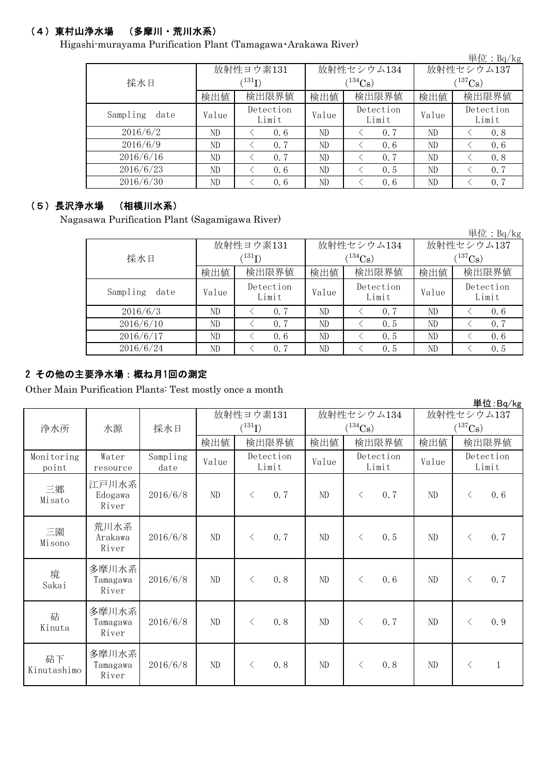# (4)東村山浄水場 (多摩川・荒川水系)

Higashi-murayama Purification Plant (Tamagawa・Arakawa River)

|                  |       |                            |       |                    |             | 里 $\overline{u}$ : Bq/kg |  |
|------------------|-------|----------------------------|-------|--------------------|-------------|--------------------------|--|
|                  |       | 放射性ヨウ素131                  |       | 放射性セシウム134         | 放射性セシウム137  |                          |  |
| 採水日              |       | $^{\prime131} \mathrm{I})$ |       | $1^{134}$ Cs)      | $(137)$ Cs) |                          |  |
|                  | 検出値   | 検出限界値                      | 検出値   | 検出限界値              | 検出値         | 検出限界値                    |  |
| Sampling<br>date | Value | Detection<br>Limit         | Value | Detection<br>Limit | Value       | Detection<br>Limit       |  |
| 2016/6/2         | ND    | 0.6                        | ND    | 0.7                | ND          | 0.8                      |  |
| 2016/6/9         | ND    | 0.7                        | ND    | 0.6                | ND          | 0.6                      |  |
| 2016/6/16        | ND    | 0.7                        | ND    | 0.7                | ND          | 0.8                      |  |
| 2016/6/23        | ND    | 0.6                        | ND    | 0.5                | ND          | 0, 7                     |  |
| 2016/6/30        | ND    | 0.6                        | ND    | 0.6                | ND          | 0.7                      |  |

### (5)長沢浄水場 (相模川水系)

Nagasawa Purification Plant (Sagamigawa River)

|                  |                            |                    |       |                    |             | 単位: $Bq/kg$        |  |
|------------------|----------------------------|--------------------|-------|--------------------|-------------|--------------------|--|
|                  |                            | 放射性ヨウ素131          |       | 放射性セシウム134         | 放射性セシウム137  |                    |  |
| 採水日              | $^{\prime131} \mathrm{I})$ |                    |       | $134C_8$ )         | $(137)$ Cs) |                    |  |
|                  | 検出値                        | 検出限界値              | 検出値   | 検出限界値              | 検出値         | 検出限界値              |  |
| Sampling<br>date | Value                      | Detection<br>Limit | Value | Detection<br>Limit | Value       | Detection<br>Limit |  |
| 2016/6/3         | ND                         | 0, 7               | ND    | 0.7                | ND          | 0, 6               |  |
| 2016/6/10        | ND                         | 0.7                | ND    | 0.5                | ND          | 0.7                |  |
| 2016/6/17        | ND                         | 0.6                | ND    | 0.5                | ND          | 0, 6               |  |
| 2016/6/24        | ND                         | 0, 7               | ND    | 0.5                | ND          | 0.5                |  |

#### 2 その他の主要浄水場:概ね月1回の測定

Other Main Purification Plants: Test mostly once a month

|                     |                            |                  |             |                    |       |                    |              | 두 1포 . DY/ NS      |
|---------------------|----------------------------|------------------|-------------|--------------------|-------|--------------------|--------------|--------------------|
|                     |                            |                  |             | 放射性ヨウ素131          |       | 放射性セシウム134         | 放射性セシウム137   |                    |
| 浄水所<br>水源           |                            | 採水日              | $(^{131}I)$ |                    |       | $(^{134}Cs)$       | $(^{137}Cs)$ |                    |
|                     |                            |                  | 検出値         | 検出限界値              | 検出値   | 検出限界値              | 検出値          | 検出限界値              |
| Monitoring<br>point | Water<br>resource          | Sampling<br>date | Value       | Detection<br>Limit | Value | Detection<br>Limit | Value        | Detection<br>Limit |
| 三郷<br>Misato        | 江戸川水系<br>Edogawa<br>River  | 2016/6/8         | ND          | 0.7<br>$\langle$   | ND    | 0.7<br>$\langle$   | ND           | 0.6<br>$\langle$   |
| 三園<br>Misono        | 荒川水系<br>Arakawa<br>River   | 2016/6/8         | ND          | 0.7<br>$\langle$   | ND    | $\lt$<br>0.5       | ND           | 0.7<br>$\langle$   |
| 境<br>Sakai          | 多摩川水系<br>Tamagawa<br>River | 2016/6/8         | ND          | 0.8<br>$\langle$   | ND    | 0.6<br>$\langle$   | ND           | 0.7<br>$\langle$   |
| 砧<br>Kinuta         | 多摩川水系<br>Tamagawa<br>River | 2016/6/8         | ND          | 0.8<br>$\langle$   | ND    | 0.7<br>$\langle$   | ND           | 0.9<br>$\lt$       |
| 砧下<br>Kinutashimo   | 多摩川水系<br>Tamagawa<br>River | 2016/6/8         | ND          | 0.8<br>$\lt$       | ND    | 0.8<br>$\lt$       | ND           | $\langle$<br>1     |

単位:Bq/kg

当 $\bigoplus$ : D<sub>a</sub>/k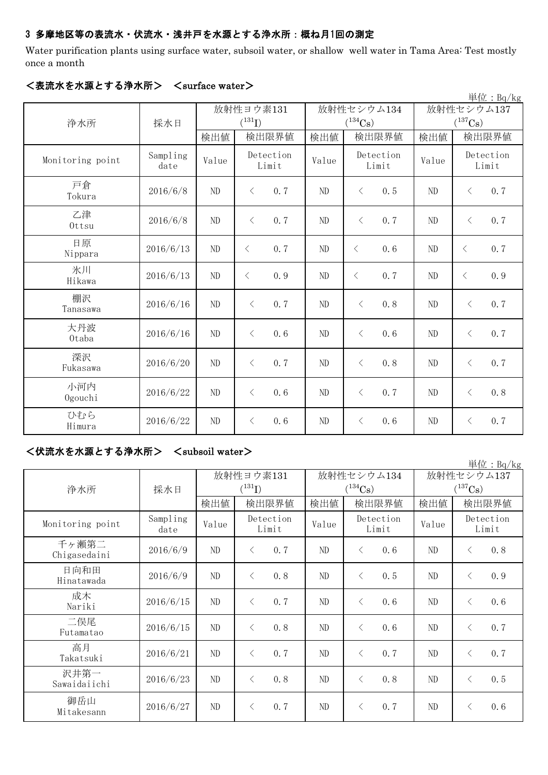## 3 多摩地区等の表流水・伏流水・浅井戸を水源とする浄水所:概ね月1回の測定

Water purification plants using surface water, subsoil water, or shallow well water in Tama Area: Test mostly once a month

|                  |                  |             |                    |       |                    |                       | 単位: $Bq/kg$        |
|------------------|------------------|-------------|--------------------|-------|--------------------|-----------------------|--------------------|
|                  |                  | 放射性ヨウ素131   |                    |       | 放射性セシウム134         | 放射性セシウム137            |                    |
| 浄水所              | 採水日              | $(^{131}I)$ |                    |       | $(^{134}Cs)$       | $(^{137}\mathrm{Cs})$ |                    |
|                  |                  | 検出値         | 検出限界値              | 検出値   | 検出限界値              | 検出値                   | 検出限界値              |
| Monitoring point | Sampling<br>date | Value       | Detection<br>Limit | Value | Detection<br>Limit | Value                 | Detection<br>Limit |
| 戸倉<br>Tokura     | 2016/6/8         | ND          | 0, 7<br>$\langle$  | ND    | 0.5<br>$\langle$   | ND                    | 0.7<br>$\lt$       |
| 乙津<br>Ottsu      | 2016/6/8         | ND          | $\langle$<br>0.7   | ND    | $\langle$<br>0.7   | $\rm ND$              | 0.7<br>$\langle$   |
| 日原<br>Nippara    | 2016/6/13        | ND          | 0.7<br>$\langle$   | ND    | $\lt$<br>0.6       | ND                    | 0, 7<br>$\lt$      |
| 氷川<br>Hikawa     | 2016/6/13        | ND          | 0.9<br>$\langle$   | ND    | 0.7<br>$\lt$       | ND                    | 0.9<br>$\lt$       |
| 棚沢<br>Tanasawa   | 2016/6/16        | ND          | 0.7<br>$\langle$   | ND    | 0.8<br>$\langle$   | ND                    | 0.7<br>$\langle$   |
| 大丹波<br>0taba     | 2016/6/16        | ND          | 0.6<br>$\lt$       | ND    | $\langle$<br>0.6   | ND                    | 0.7<br>$\langle$   |
| 深沢<br>Fukasawa   | 2016/6/20        | ND          | 0, 7<br>$\lt$      | ND    | 0, 8<br>$\langle$  | ND                    | 0.7<br>$\langle$   |
| 小河内<br>Ogouchi   | 2016/6/22        | ND          | 0.6<br>$\, <\,$    | ND    | 0.7<br>$\langle$   | $\rm ND$              | 0.8<br>$\langle$   |
| ひむら<br>Himura    | 2016/6/22        | ND          | $\langle$<br>0, 6  | ND    | 0.6<br>$\langle$   | ND                    | 0.7<br>$\langle$   |

#### <表流水を水源とする浄水所> <surface water>

## <伏流水を水源とする浄水所> <subsoil water>

単位:Bq/kg 検出値 | 検出値 | 検出限界値 | 検出値 Sampling date  $V$ alue  $V$ <sup>Detection</sup> Value  $V$ <sup>Detection</sup> Value  $2016/6/9$  ND  $\leq 0.7$  ND  $\leq 0.6$  ND  $\leq 0.8$  $2016/6/9$  ND  $\leq 0.8$  ND  $\leq 0.5$  ND  $\leq 0.9$ 2016/6/15 ND  $\leq$  0.7 ND  $\leq$  0.6 ND  $\leq$  0.6 2016/6/15 ND  $\leq$  0.8 ND  $\leq$  0.6 ND  $\leq$  0.7  $2016/6/21$  ND  $\leq 0.7$  ND  $\leq 0.7$  ND  $\leq 0.7$ 2016/6/23 ND < 0.8 ND < 0.8 ND < 0.5 2016/6/27 ND < 0.7 ND < 0.7 ND < 0.6 二俣尾 Futamatao 成木 Nariki 放射性ヨウ素131  $(^{131}\text{I})$ 高月 Takatsuki 日向和田 Hinatawada 放射性セシウム137  $(^{137}\mathrm{Cs})$ 放射性セシウム134  $(^{134}\mathrm{Cs})$ Detection Limit 検出限界値 |検出値 |検出限界値 Monitoring point Detection Limit Detection Limit 浄水所 | 採水日 沢井第一 Sawaidaiichi 千ヶ瀬第二 Chigasedaini 御岳山 Mitakesann